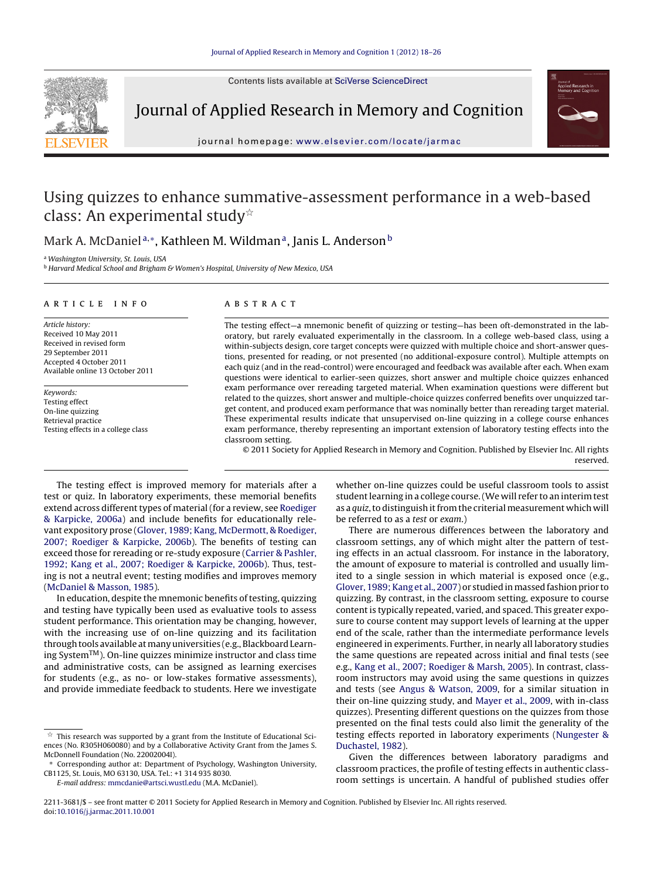Contents lists available at [SciVerse ScienceDirect](http://www.sciencedirect.com/science/journal/22113681)



Journal of Applied Research in Memory and Cognition



journal homepage: [www.elsevier.com/locate/jarmac](http://www.elsevier.com/locate/jarmac)

# Using quizzes to enhance summative-assessment performance in a web-based class: An experimental study $^{\scriptscriptstyle\mathrm{\star}}$

# Mark A. McDaniel<sup>a,\*</sup>, Kathleen M. Wildman<sup>a</sup>, Janis L. Anderson<sup>b</sup>

<sup>a</sup> Washington University, St. Louis, USA

**b Harvard Medical School and Brigham & Women's Hospital, University of New Mexico, USA** 

## article info

Article history: Received 10 May 2011 Received in revised form 29 September 2011 Accepted 4 October 2011 Available online 13 October 2011

Keywords: Testing effect On-line quizzing Retrieval practice Testing effects in a college class

## **ABSTRACT**

The testing effect—a mnemonic benefit of quizzing or testing—has been oft-demonstrated in the laboratory, but rarely evaluated experimentally in the classroom. In a college web-based class, using a within-subjects design, core target concepts were quizzed with multiple choice and short-answer questions, presented for reading, or not presented (no additional-exposure control). Multiple attempts on each quiz (and in the read-control) were encouraged and feedback was available after each. When exam questions were identical to earlier-seen quizzes, short answer and multiple choice quizzes enhanced exam performance over rereading targeted material. When examination questions were different but related to the quizzes, short answer and multiple-choice quizzes conferred benefits over unquizzed target content, and produced exam performance that was nominally better than rereading target material. These experimental results indicate that unsupervised on-line quizzing in a college course enhances exam performance, thereby representing an important extension of laboratory testing effects into the classroom setting.

© 2011 Society for Applied Research in Memory and Cognition. Published by Elsevier Inc. All rights reserved.

The testing effect is improved memory for materials after a test or quiz. In laboratory experiments, these memorial benefits extend across different types of material (for a review, see [Roediger](#page-8-0) [& Karpicke, 2006a\)](#page-8-0) and include benefits for educationally relevant expository prose [\(Glover, 1989; Kang, McDermott, & Roediger,](#page-7-0) [2007; Roediger & Karpicke, 2006b\).](#page-7-0) The benefits of testing can exceed those for rereading or re-study exposure ([Carrier & Pashler,](#page-7-0) [1992; Kang et al., 2007; Roediger & Karpicke, 2006b\).](#page-7-0) Thus, testing is not a neutral event; testing modifies and improves memory ([McDaniel & Masson, 1985\).](#page-7-0)

In education, despite the mnemonic benefits of testing, quizzing and testing have typically been used as evaluative tools to assess student performance. This orientation may be changing, however, with the increasing use of on-line quizzing and its facilitation through tools available atmany universities (e.g., Blackboard Learning SystemTM). On-line quizzes minimize instructor and class time and administrative costs, can be assigned as learning exercises for students (e.g., as no- or low-stakes formative assessments), and provide immediate feedback to students. Here we investigate

E-mail address: [mmcdanie@artsci.wustl.edu](mailto:mmcdanie@artsci.wustl.edu) (M.A. McDaniel).

whether on-line quizzes could be useful classroom tools to assist student learning in a college course. (We will refer to an interim test as a quiz, to distinguish it from the criterial measurement which will be referred to as a test or exam.)

There are numerous differences between the laboratory and classroom settings, any of which might alter the pattern of testing effects in an actual classroom. For instance in the laboratory, the amount of exposure to material is controlled and usually limited to a single session in which material is exposed once (e.g., [Glover, 1989; Kang et al., 2007\) o](#page-7-0)r studied inmassed fashion prior to quizzing. By contrast, in the classroom setting, exposure to course content is typically repeated, varied, and spaced. This greater exposure to course content may support levels of learning at the upper end of the scale, rather than the intermediate performance levels engineered in experiments. Further, in nearly all laboratory studies the same questions are repeated across initial and final tests (see e.g., [Kang et al., 2007; Roediger & Marsh, 2005\).](#page-7-0) In contrast, classroom instructors may avoid using the same questions in quizzes and tests (see [Angus & Watson, 2009,](#page-7-0) for a similar situation in their on-line quizzing study, and [Mayer et al., 2009, w](#page-7-0)ith in-class quizzes). Presenting different questions on the quizzes from those presented on the final tests could also limit the generality of the testing effects reported in laboratory experiments [\(Nungester &](#page-7-0) [Duchastel, 1982\).](#page-7-0)

Given the differences between laboratory paradigms and classroom practices, the profile of testing effects in authentic classroom settings is uncertain. A handful of published studies offer

 $\frac{1}{\lambda}$  This research was supported by a grant from the Institute of Educational Sciences (No. R305H060080) and by a Collaborative Activity Grant from the James S. McDonnell Foundation (No. 22002004I).

<sup>∗</sup> Corresponding author at: Department of Psychology, Washington University, CB1125, St. Louis, MO 63130, USA. Tel.: +1 314 935 8030.

<sup>2211-3681/\$ –</sup> see front matter © 2011 Society for Applied Research in Memory and Cognition. Published by Elsevier Inc. All rights reserved. doi:[10.1016/j.jarmac.2011.10.001](dx.doi.org/10.1016/j.jarmac.2011.10.001)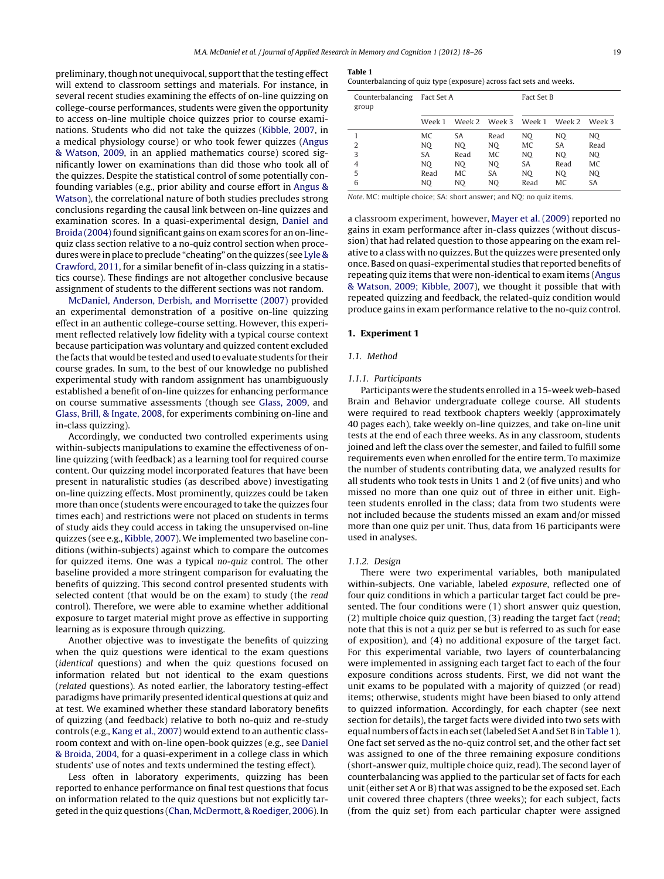<span id="page-1-0"></span>preliminary, though not unequivocal, support that the testing effect will extend to classroom settings and materials. For instance, in several recent studies examining the effects of on-line quizzing on college-course performances, students were given the opportunity to access on-line multiple choice quizzes prior to course examinations. Students who did not take the quizzes [\(Kibble, 2007, i](#page-7-0)n a medical physiology course) or who took fewer quizzes ([Angus](#page-7-0) [& Watson, 2009,](#page-7-0) in an applied mathematics course) scored significantly lower on examinations than did those who took all of the quizzes. Despite the statistical control of some potentially confounding variables (e.g., prior ability and course effort in [Angus &](#page-7-0) [Watson\),](#page-7-0) the correlational nature of both studies precludes strong conclusions regarding the causal link between on-line quizzes and examination scores. In a quasi-experimental design, [Daniel and](#page-7-0) Broida (2004) found significant gains on exam scores for an on-linequiz class section relative to a no-quiz control section when procedures were in place to preclude "cheating" on the quizzes (see [Lyle &](#page-7-0) [Crawford, 2011, f](#page-7-0)or a similar benefit of in-class quizzing in a statistics course). These findings are not altogether conclusive because assignment of students to the different sections was not random.

[McDaniel, Anderson, Derbish, and Morrisette \(2007\)](#page-7-0) provided an experimental demonstration of a positive on-line quizzing effect in an authentic college-course setting. However, this experiment reflected relatively low fidelity with a typical course context because participation was voluntary and quizzed content excluded the facts that would be tested and used to evaluate students for their course grades. In sum, to the best of our knowledge no published experimental study with random assignment has unambiguously established a benefit of on-line quizzes for enhancing performance on course summative assessments (though see [Glass, 2009,](#page-7-0) and [Glass, Brill, & Ingate, 2008, f](#page-7-0)or experiments combining on-line and in-class quizzing).

Accordingly, we conducted two controlled experiments using within-subjects manipulations to examine the effectiveness of online quizzing (with feedback) as a learning tool for required course content. Our quizzing model incorporated features that have been present in naturalistic studies (as described above) investigating on-line quizzing effects. Most prominently, quizzes could be taken more than once (students were encouraged to take the quizzes four times each) and restrictions were not placed on students in terms of study aids they could access in taking the unsupervised on-line quizzes (see e.g., [Kibble, 2007\).](#page-7-0) We implemented two baseline conditions (within-subjects) against which to compare the outcomes for quizzed items. One was a typical no-quiz control. The other baseline provided a more stringent comparison for evaluating the benefits of quizzing. This second control presented students with selected content (that would be on the exam) to study (the read control). Therefore, we were able to examine whether additional exposure to target material might prove as effective in supporting learning as is exposure through quizzing.

Another objective was to investigate the benefits of quizzing when the quiz questions were identical to the exam questions (identical questions) and when the quiz questions focused on information related but not identical to the exam questions (related questions). As noted earlier, the laboratory testing-effect paradigms have primarily presented identical questions at quiz and at test. We examined whether these standard laboratory benefits of quizzing (and feedback) relative to both no-quiz and re-study controls (e.g., [Kang et al., 2007\) w](#page-7-0)ould extend to an authentic classroom context and with on-line open-book quizzes (e.g., see [Daniel](#page-7-0) [& Broida, 2004, f](#page-7-0)or a quasi-experiment in a college class in which students' use of notes and texts undermined the testing effect).

Less often in laboratory experiments, quizzing has been reported to enhance performance on final test questions that focus on information related to the quiz questions but not explicitly targeted in the quiz questions [\(Chan, McDermott, & Roediger, 2006\).](#page-7-0) In

| $\sim$<br>. . |  |
|---------------|--|
|---------------|--|

Counterbalancing of quiz type (exposure) across fact sets and weeks.

| Counterbalancing<br>group | Fact Set A |           |               | Fact Set B |        |           |
|---------------------------|------------|-----------|---------------|------------|--------|-----------|
|                           | Week 1     |           | Week 2 Week 3 | Week 1     | Week 2 | Week 3    |
|                           | MC         | <b>SA</b> | Read          | NO.        | NO.    | NO.       |
| 2                         | NO.        | NO.       | NO.           | MC         | SA     | Read      |
| 3                         | SA         | Read      | MC            | NO.        | NO.    | NO.       |
| 4                         | NO         | NO.       | NO.           | SA         | Read   | MC        |
| 5                         | Read       | MC        | SA            | NO         | NO.    | NO.       |
| 6                         | NO         | NO        | NO            | Read       | MC     | <b>SA</b> |

Note. MC: multiple choice; SA: short answer; and NQ: no quiz items.

a classroom experiment, however, [Mayer et al. \(2009\)](#page-7-0) reported no gains in exam performance after in-class quizzes (without discussion) that had related question to those appearing on the exam relative to a class with no quizzes. But the quizzes were presented only once. Based on quasi-experimental studies that reported benefits of repeating quiz items that were non-identical to exam items [\(Angus](#page-7-0) [& Watson, 2009; Kibble, 2007\),](#page-7-0) we thought it possible that with repeated quizzing and feedback, the related-quiz condition would produce gains in exam performance relative to the no-quiz control.

## **1. Experiment 1**

# 1.1. Method

## 1.1.1. Participants

Participants were the students enrolled in a 15-week web-based Brain and Behavior undergraduate college course. All students were required to read textbook chapters weekly (approximately 40 pages each), take weekly on-line quizzes, and take on-line unit tests at the end of each three weeks. As in any classroom, students joined and left the class over the semester, and failed to fulfill some requirements even when enrolled for the entire term. To maximize the number of students contributing data, we analyzed results for all students who took tests in Units 1 and 2 (of five units) and who missed no more than one quiz out of three in either unit. Eighteen students enrolled in the class; data from two students were not included because the students missed an exam and/or missed more than one quiz per unit. Thus, data from 16 participants were used in analyses.

#### 1.1.2. Design

There were two experimental variables, both manipulated within-subjects. One variable, labeled exposure, reflected one of four quiz conditions in which a particular target fact could be presented. The four conditions were (1) short answer quiz question, (2) multiple choice quiz question, (3) reading the target fact (read; note that this is not a quiz per se but is referred to as such for ease of exposition), and (4) no additional exposure of the target fact. For this experimental variable, two layers of counterbalancing were implemented in assigning each target fact to each of the four exposure conditions across students. First, we did not want the unit exams to be populated with a majority of quizzed (or read) items; otherwise, students might have been biased to only attend to quizzed information. Accordingly, for each chapter (see next section for details), the target facts were divided into two sets with equal numbers of facts in each set (labeled Set A and Set B inTable 1). One fact set served as the no-quiz control set, and the other fact set was assigned to one of the three remaining exposure conditions (short-answer quiz, multiple choice quiz, read). The second layer of counterbalancing was applied to the particular set of facts for each unit (either set A or B) that was assigned to be the exposed set. Each unit covered three chapters (three weeks); for each subject, facts (from the quiz set) from each particular chapter were assigned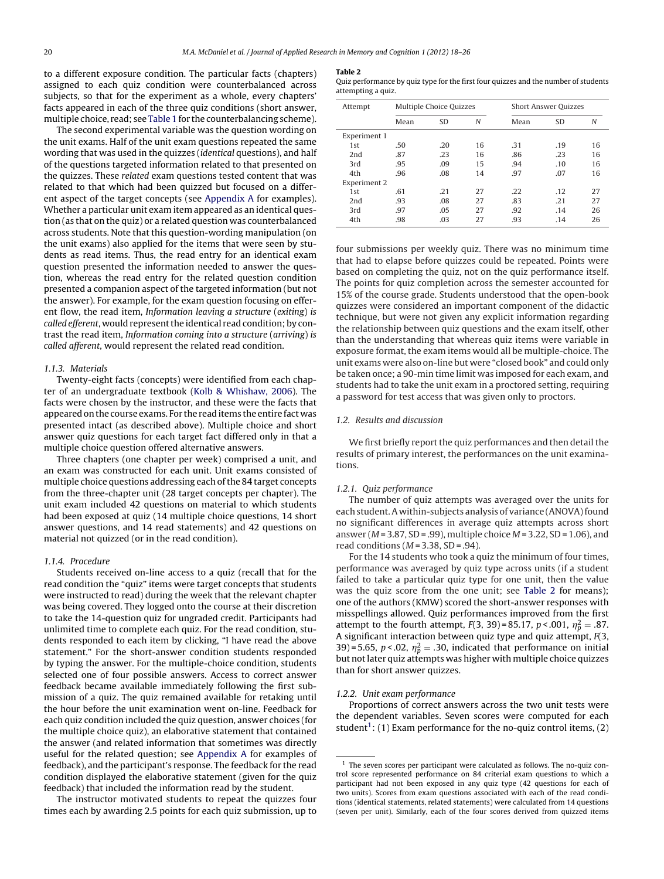<span id="page-2-0"></span>to a different exposure condition. The particular facts (chapters) assigned to each quiz condition were counterbalanced across subjects, so that for the experiment as a whole, every chapters' facts appeared in each of the three quiz conditions (short answer, multiple choice, read; see [Table 1](#page-1-0) for the counterbalancing scheme).

The second experimental variable was the question wording on the unit exams. Half of the unit exam questions repeated the same wording that was used in the quizzes (identical questions), and half of the questions targeted information related to that presented on the quizzes. These related exam questions tested content that was related to that which had been quizzed but focused on a different aspect of the target concepts (see [Appendix A](#page-6-0) for examples). Whether a particular unit exam item appeared as an identical question (as that on the quiz) or a related question was counterbalanced across students. Note that this question-wording manipulation (on the unit exams) also applied for the items that were seen by students as read items. Thus, the read entry for an identical exam question presented the information needed to answer the question, whereas the read entry for the related question condition presented a companion aspect of the targeted information (but not the answer). For example, for the exam question focusing on efferent flow, the read item, Information leaving a structure (exiting) is called efferent, would represent the identical read condition; by contrast the read item, Information coming into a structure (arriving) is called afferent, would represent the related read condition.

# 1.1.3. Materials

Twenty-eight facts (concepts) were identified from each chapter of an undergraduate textbook [\(Kolb & Whishaw, 2006\).](#page-7-0) The facts were chosen by the instructor, and these were the facts that appeared on the course exams. For the read items the entire fact was presented intact (as described above). Multiple choice and short answer quiz questions for each target fact differed only in that a multiple choice question offered alternative answers.

Three chapters (one chapter per week) comprised a unit, and an exam was constructed for each unit. Unit exams consisted of multiple choice questions addressing each of the 84 target concepts from the three-chapter unit (28 target concepts per chapter). The unit exam included 42 questions on material to which students had been exposed at quiz (14 multiple choice questions, 14 short answer questions, and 14 read statements) and 42 questions on material not quizzed (or in the read condition).

#### 1.1.4. Procedure

Students received on-line access to a quiz (recall that for the read condition the "quiz" items were target concepts that students were instructed to read) during the week that the relevant chapter was being covered. They logged onto the course at their discretion to take the 14-question quiz for ungraded credit. Participants had unlimited time to complete each quiz. For the read condition, students responded to each item by clicking, "I have read the above statement." For the short-answer condition students responded by typing the answer. For the multiple-choice condition, students selected one of four possible answers. Access to correct answer feedback became available immediately following the first submission of a quiz. The quiz remained available for retaking until the hour before the unit examination went on-line. Feedback for each quiz condition included the quiz question, answer choices (for the multiple choice quiz), an elaborative statement that contained the answer (and related information that sometimes was directly useful for the related question; see [Appendix A](#page-6-0) for examples of feedback), and the participant's response. The feedback for the read condition displayed the elaborative statement (given for the quiz feedback) that included the information read by the student.

The instructor motivated students to repeat the quizzes four times each by awarding 2.5 points for each quiz submission, up to

#### **Table 2**

Quiz performance by quiz type for the first four quizzes and the number of students attempting a quiz.

| Attempt      | Multiple Choice Quizzes |           | <b>Short Answer Quizzes</b> |      |           |    |
|--------------|-------------------------|-----------|-----------------------------|------|-----------|----|
|              | Mean                    | <b>SD</b> | N                           | Mean | <b>SD</b> | N  |
| Experiment 1 |                         |           |                             |      |           |    |
| 1st          | .50                     | .20       | 16                          | .31  | .19       | 16 |
| 2nd          | .87                     | .23       | 16                          | .86  | .23       | 16 |
| 3rd          | .95                     | .09       | 15                          | .94  | .10       | 16 |
| 4th          | .96                     | .08       | 14                          | .97  | .07       | 16 |
| Experiment 2 |                         |           |                             |      |           |    |
| 1st          | .61                     | .21       | 27                          | .22  | .12       | 27 |
| 2nd          | .93                     | .08       | 27                          | .83  | .21       | 27 |
| 3rd          | .97                     | .05       | 27                          | .92  | .14       | 26 |
| 4th          | .98                     | .03       | 27                          | .93  | .14       | 26 |

four submissions per weekly quiz. There was no minimum time that had to elapse before quizzes could be repeated. Points were based on completing the quiz, not on the quiz performance itself. The points for quiz completion across the semester accounted for 15% of the course grade. Students understood that the open-book quizzes were considered an important component of the didactic technique, but were not given any explicit information regarding the relationship between quiz questions and the exam itself, other than the understanding that whereas quiz items were variable in exposure format, the exam items would all be multiple-choice. The unit exams were also on-line but were "closed book" and could only be taken once; a 90-min time limit was imposed for each exam, and students had to take the unit exam in a proctored setting, requiring a password for test access that was given only to proctors.

# 1.2. Results and discussion

We first briefly report the quiz performances and then detail the results of primary interest, the performances on the unit examinations.

# 1.2.1. Quiz performance

The number of quiz attempts was averaged over the units for each student. A within-subjects analysis of variance (ANOVA) found no significant differences in average quiz attempts across short answer ( $M = 3.87$ , SD = .99), multiple choice  $M = 3.22$ , SD = 1.06), and read conditions ( $M = 3.38$ , SD = .94).

For the 14 students who took a quiz the minimum of four times, performance was averaged by quiz type across units (if a student failed to take a particular quiz type for one unit, then the value was the quiz score from the one unit; see Table 2 for means); one of the authors (KMW) scored the short-answer responses with misspellings allowed. Quiz performances improved from the first attempt to the fourth attempt,  $F(3, 39) = 85.17, p < .001, \eta_p^2 = .87$ . A significant interaction between quiz type and quiz attempt,  $F(3, 1)$ 39)=5.65,  $p < .02$ ,  $\eta_p^2 = .30$ , indicated that performance on initial but not later quiz attempts was higher with multiple choice quizzes than for short answer quizzes.

#### 1.2.2. Unit exam performance

Proportions of correct answers across the two unit tests were the dependent variables. Seven scores were computed for each student<sup>1</sup>: (1) Exam performance for the no-quiz control items, (2)

 $1$  The seven scores per participant were calculated as follows. The no-quiz control score represented performance on 84 criterial exam questions to which a participant had not been exposed in any quiz type (42 questions for each of two units). Scores from exam questions associated with each of the read conditions (identical statements, related statements) were calculated from 14 questions (seven per unit). Similarly, each of the four scores derived from quizzed items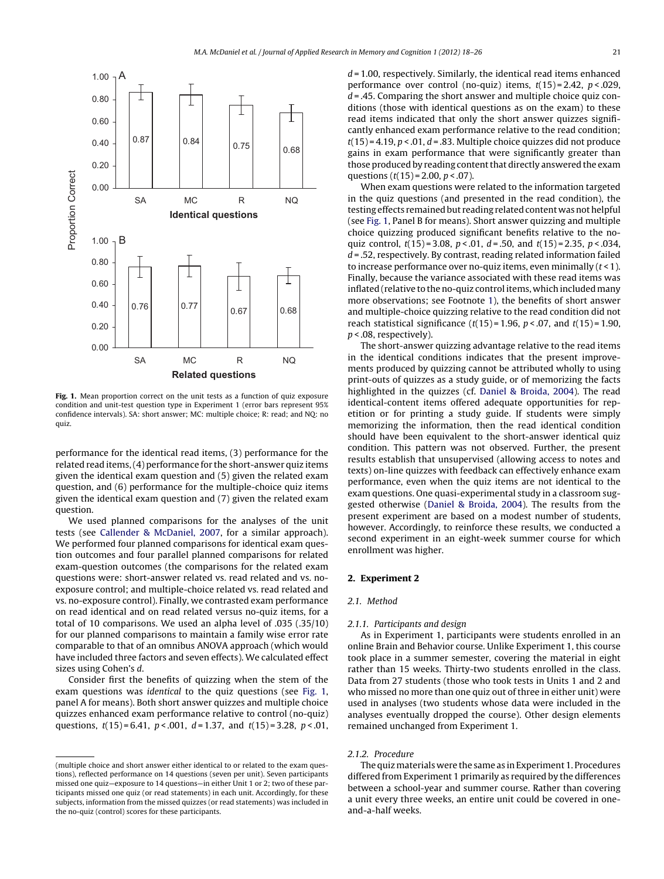

**Fig. 1.** Mean proportion correct on the unit tests as a function of quiz exposure condition and unit-test question type in Experiment 1 (error bars represent 95% confidence intervals). SA: short answer; MC: multiple choice; R: read; and NQ: no quiz.

performance for the identical read items, (3) performance for the related read items, (4) performance for the short-answer quiz items given the identical exam question and (5) given the related exam question, and (6) performance for the multiple-choice quiz items given the identical exam question and (7) given the related exam question.

We used planned comparisons for the analyses of the unit tests (see [Callender & McDaniel, 2007,](#page-7-0) for a similar approach). We performed four planned comparisons for identical exam question outcomes and four parallel planned comparisons for related exam-question outcomes (the comparisons for the related exam questions were: short-answer related vs. read related and vs. noexposure control; and multiple-choice related vs. read related and vs. no-exposure control). Finally, we contrasted exam performance on read identical and on read related versus no-quiz items, for a total of 10 comparisons. We used an alpha level of .035 (.35/10) for our planned comparisons to maintain a family wise error rate comparable to that of an omnibus ANOVA approach (which would have included three factors and seven effects). We calculated effect sizes using Cohen's d.

Consider first the benefits of quizzing when the stem of the exam questions was identical to the quiz questions (see Fig. 1, panel A for means). Both short answer quizzes and multiple choice quizzes enhanced exam performance relative to control (no-quiz) questions,  $t(15) = 6.41$ ,  $p < .001$ ,  $d = 1.37$ , and  $t(15) = 3.28$ ,  $p < .01$ ,  $d = 1.00$ , respectively. Similarly, the identical read items enhanced performance over control (no-quiz) items,  $t(15) = 2.42$ ,  $p < .029$ ,  $d = 0.45$ . Comparing the short answer and multiple choice quiz conditions (those with identical questions as on the exam) to these read items indicated that only the short answer quizzes significantly enhanced exam performance relative to the read condition;  $t(15) = 4.19$ ,  $p < .01$ ,  $d = .83$ . Multiple choice quizzes did not produce gains in exam performance that were significantly greater than those produced by reading content that directly answered the exam questions  $(t(15) = 2.00, p < .07)$ .

When exam questions were related to the information targeted in the quiz questions (and presented in the read condition), the testing effects remained but reading related content was not helpful (see Fig. 1, Panel B for means). Short answer quizzing and multiple choice quizzing produced significant benefits relative to the noquiz control,  $t(15) = 3.08$ ,  $p < .01$ ,  $d = .50$ , and  $t(15) = 2.35$ ,  $p < .034$ ,  $d = 0.52$ , respectively. By contrast, reading related information failed to increase performance over no-quiz items, even minimally  $(t < 1)$ . Finally, because the variance associated with these read items was inflated (relative to the no-quiz control items, which included many more observations; see Footnote [1\),](#page-2-0) the benefits of short answer and multiple-choice quizzing relative to the read condition did not reach statistical significance  $(t(15) = 1.96, p < .07,$  and  $t(15) = 1.90,$  $p < .08$ , respectively).

The short-answer quizzing advantage relative to the read items in the identical conditions indicates that the present improvements produced by quizzing cannot be attributed wholly to using print-outs of quizzes as a study guide, or of memorizing the facts highlighted in the quizzes (cf. [Daniel & Broida, 2004\).](#page-7-0) The read identical-content items offered adequate opportunities for repetition or for printing a study guide. If students were simply memorizing the information, then the read identical condition should have been equivalent to the short-answer identical quiz condition. This pattern was not observed. Further, the present results establish that unsupervised (allowing access to notes and texts) on-line quizzes with feedback can effectively enhance exam performance, even when the quiz items are not identical to the exam questions. One quasi-experimental study in a classroom suggested otherwise ([Daniel & Broida, 2004\).](#page-7-0) The results from the present experiment are based on a modest number of students, however. Accordingly, to reinforce these results, we conducted a second experiment in an eight-week summer course for which enrollment was higher.

# **2. Experiment 2**

# 2.1. Method

# 2.1.1. Participants and design

As in Experiment 1, participants were students enrolled in an online Brain and Behavior course. Unlike Experiment 1, this course took place in a summer semester, covering the material in eight rather than 15 weeks. Thirty-two students enrolled in the class. Data from 27 students (those who took tests in Units 1 and 2 and who missed no more than one quiz out of three in either unit) were used in analyses (two students whose data were included in the analyses eventually dropped the course). Other design elements remained unchanged from Experiment 1.

# 2.1.2. Procedure

The quiz materials were the same as in Experiment 1. Procedures differed from Experiment 1 primarily as required by the differences between a school-year and summer course. Rather than covering a unit every three weeks, an entire unit could be covered in oneand-a-half weeks.

<sup>(</sup>multiple choice and short answer either identical to or related to the exam questions), reflected performance on 14 questions (seven per unit). Seven participants missed one quiz—exposure to 14 questions—in either Unit 1 or 2; two of these participants missed one quiz (or read statements) in each unit. Accordingly, for these subjects, information from the missed quizzes (or read statements) was included in the no-quiz (control) scores for these participants.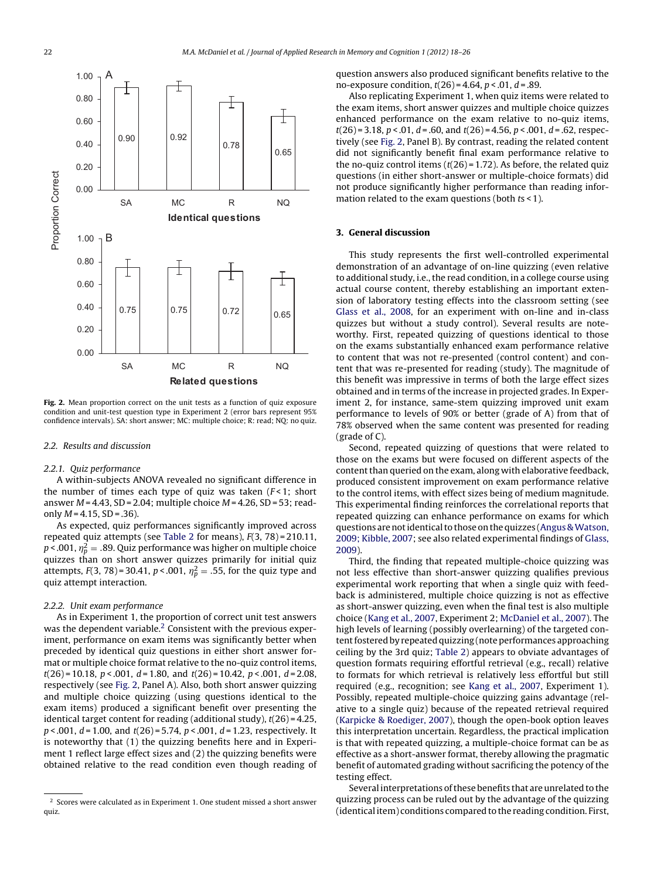

**Fig. 2.** Mean proportion correct on the unit tests as a function of quiz exposure condition and unit-test question type in Experiment 2 (error bars represent 95% confidence intervals). SA: short answer; MC: multiple choice; R: read; NQ: no quiz.

#### 2.2. Results and discussion

#### 2.2.1. Quiz performance

A within-subjects ANOVA revealed no significant difference in the number of times each type of quiz was taken  $(F<1)$ ; short answer  $M = 4.43$ , SD = 2.04; multiple choice  $M = 4.26$ , SD = 53; readonly  $M = 4.15$ ,  $SD = .36$ ).

As expected, quiz performances significantly improved across repeated quiz attempts (see [Table 2](#page-2-0) for means), F(3, 78) = 210.11, p < .001,  $\eta_p^2 =$  .89. Quiz performance was higher on multiple choice quizzes than on short answer quizzes primarily for initial quiz attempts,  $F(3, 78)$ =30.41,  $p < .001$ ,  $\eta_p^2 = .55$ , for the quiz type and quiz attempt interaction.

# 2.2.2. Unit exam performance

As in Experiment 1, the proportion of correct unit test answers was the dependent variable.<sup>2</sup> Consistent with the previous experiment, performance on exam items was significantly better when preceded by identical quiz questions in either short answer format or multiple choice format relative to the no-quiz control items,  $t(26) = 10.18$ ,  $p < .001$ ,  $d = 1.80$ , and  $t(26) = 10.42$ ,  $p < .001$ ,  $d = 2.08$ , respectively (see Fig. 2, Panel A). Also, both short answer quizzing and multiple choice quizzing (using questions identical to the exam items) produced a significant benefit over presenting the identical target content for reading (additional study),  $t(26) = 4.25$ ,  $p < .001$ ,  $d = 1.00$ , and  $t(26) = 5.74$ ,  $p < .001$ ,  $d = 1.23$ , respectively. It is noteworthy that (1) the quizzing benefits here and in Experiment 1 reflect large effect sizes and (2) the quizzing benefits were obtained relative to the read condition even though reading of question answers also produced significant benefits relative to the no-exposure condition,  $t(26) = 4.64$ ,  $p < .01$ ,  $d = .89$ .

Also replicating Experiment 1, when quiz items were related to the exam items, short answer quizzes and multiple choice quizzes enhanced performance on the exam relative to no-quiz items,  $t(26) = 3.18$ ,  $p < .01$ ,  $d = .60$ , and  $t(26) = 4.56$ ,  $p < .001$ ,  $d = .62$ , respectively (see Fig. 2, Panel B). By contrast, reading the related content did not significantly benefit final exam performance relative to the no-quiz control items  $(t(26) = 1.72)$ . As before, the related quiz questions (in either short-answer or multiple-choice formats) did not produce significantly higher performance than reading information related to the exam questions (both ts < 1).

# **3. General discussion**

This study represents the first well-controlled experimental demonstration of an advantage of on-line quizzing (even relative to additional study, i.e., the read condition, in a college course using actual course content, thereby establishing an important extension of laboratory testing effects into the classroom setting (see [Glass et al., 2008,](#page-7-0) for an experiment with on-line and in-class quizzes but without a study control). Several results are noteworthy. First, repeated quizzing of questions identical to those on the exams substantially enhanced exam performance relative to content that was not re-presented (control content) and content that was re-presented for reading (study). The magnitude of this benefit was impressive in terms of both the large effect sizes obtained and in terms of the increase in projected grades. In Experiment 2, for instance, same-stem quizzing improved unit exam performance to levels of 90% or better (grade of A) from that of 78% observed when the same content was presented for reading (grade of C).

Second, repeated quizzing of questions that were related to those on the exams but were focused on different aspects of the content than queried on the exam, along with elaborative feedback, produced consistent improvement on exam performance relative to the control items, with effect sizes being of medium magnitude. This experimental finding reinforces the correlational reports that repeated quizzing can enhance performance on exams for which questions are not identical to those on the quizzes (Angus & Watson, [2009; Kibble, 2007; s](#page-7-0)ee also related experimental findings of [Glass,](#page-7-0) [2009\).](#page-7-0)

Third, the finding that repeated multiple-choice quizzing was not less effective than short-answer quizzing qualifies previous experimental work reporting that when a single quiz with feedback is administered, multiple choice quizzing is not as effective as short-answer quizzing, even when the final test is also multiple choice ([Kang et al., 2007, E](#page-7-0)xperiment 2; [McDaniel et al., 2007\).](#page-7-0) The high levels of learning (possibly overlearning) of the targeted content fostered by repeated quizzing (note performances approaching ceiling by the 3rd quiz; [Table 2\)](#page-2-0) appears to obviate advantages of question formats requiring effortful retrieval (e.g., recall) relative to formats for which retrieval is relatively less effortful but still required (e.g., recognition; see [Kang et al., 2007,](#page-7-0) Experiment 1). Possibly, repeated multiple-choice quizzing gains advantage (relative to a single quiz) because of the repeated retrieval required [\(Karpicke & Roediger, 2007\),](#page-7-0) though the open-book option leaves this interpretation uncertain. Regardless, the practical implication is that with repeated quizzing, a multiple-choice format can be as effective as a short-answer format, thereby allowing the pragmatic benefit of automated grading without sacrificing the potency of the testing effect.

Several interpretations of these benefits that are unrelated to the quizzing process can be ruled out by the advantage of the quizzing (identical item) conditions compared to the reading condition. First,

<sup>2</sup> Scores were calculated as in Experiment 1. One student missed a short answer quiz.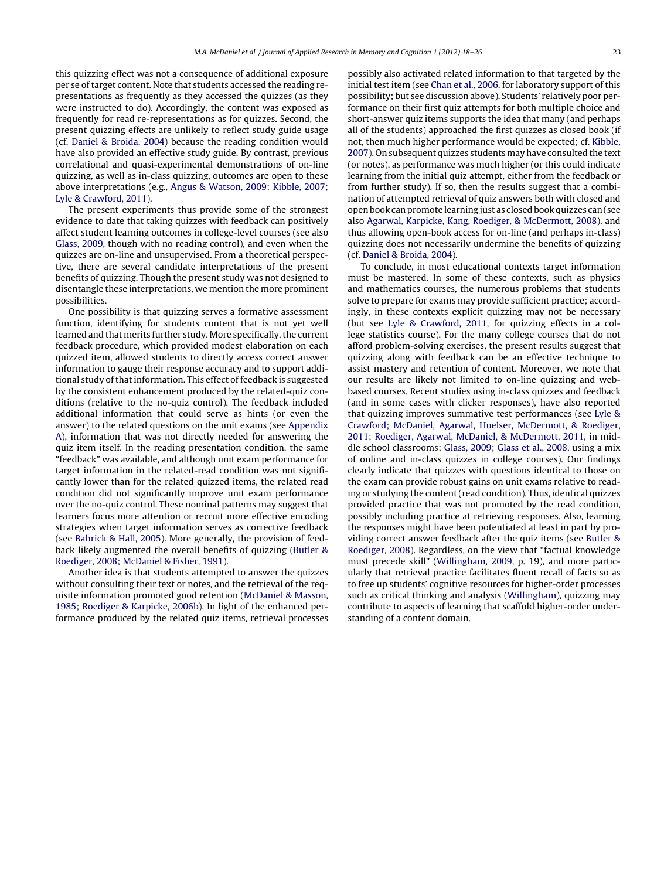this quizzing effect was not a consequence of additional exposure per se of target content. Note that students accessed the reading representations as frequently as they accessed the quizzes (as they were instructed to do). Accordingly, the content was exposed as frequently for read re-representations as for quizzes. Second, the present quizzing effects are unlikely to reflect study guide usage (cf. [Daniel & Broida, 2004\)](#page-7-0) because the reading condition would have also provided an effective study guide. By contrast, previous correlational and quasi-experimental demonstrations of on-line quizzing, as well as in-class quizzing, outcomes are open to these above interpretations (e.g., [Angus & Watson, 2009; Kibble, 2007;](#page-7-0) [Lyle & Crawford, 2011\).](#page-7-0)

The present experiments thus provide some of the strongest evidence to date that taking quizzes with feedback can positively affect student learning outcomes in college-level courses (see also [Glass, 2009, t](#page-7-0)hough with no reading control), and even when the quizzes are on-line and unsupervised. From a theoretical perspective, there are several candidate interpretations of the present benefits of quizzing. Though the present study was not designed to disentangle these interpretations, we mention the more prominent possibilities.

One possibility is that quizzing serves a formative assessment function, identifying for students content that is not yet well learned and that merits further study. More specifically, the current feedback procedure, which provided modest elaboration on each quizzed item, allowed students to directly access correct answer information to gauge their response accuracy and to support additional study of that information. This effect of feedback is suggested by the consistent enhancement produced by the related-quiz conditions (relative to the no-quiz control). The feedback included additional information that could serve as hints (or even the answer) to the related questions on the unit exams (see [Appendix](#page-6-0) [A\),](#page-6-0) information that was not directly needed for answering the quiz item itself. In the reading presentation condition, the same "feedback" was available, and although unit exam performance for target information in the related-read condition was not significantly lower than for the related quizzed items, the related read condition did not significantly improve unit exam performance over the no-quiz control. These nominal patterns may suggest that learners focus more attention or recruit more effective encoding strategies when target information serves as corrective feedback (see [Bahrick & Hall, 2005\).](#page-7-0) More generally, the provision of feedback likely augmented the overall benefits of quizzing [\(Butler &](#page-7-0) [Roediger, 2008; McDaniel & Fisher, 1991\).](#page-7-0)

Another idea is that students attempted to answer the quizzes without consulting their text or notes, and the retrieval of the requisite information promoted good retention [\(McDaniel & Masson,](#page-7-0) [1985; Roediger & Karpicke, 2006b\).](#page-7-0) In light of the enhanced performance produced by the related quiz items, retrieval processes

possibly also activated related information to that targeted by the initial test item (see [Chan et al., 2006, f](#page-7-0)or laboratory support of this possibility; but see discussion above). Students' relatively poor performance on their first quiz attempts for both multiple choice and short-answer quiz items supports the idea that many (and perhaps all of the students) approached the first quizzes as closed book (if not, then much higher performance would be expected; cf. [Kibble,](#page-7-0) [2007\).](#page-7-0) On subsequent quizzes studentsmay have consulted the text (or notes), as performance was much higher (or this could indicate learning from the initial quiz attempt, either from the feedback or from further study). If so, then the results suggest that a combination of attempted retrieval of quiz answers both with closed and open book can promote learning just as closed book quizzes can (see also [Agarwal, Karpicke, Kang, Roediger, & McDermott, 2008\),](#page-7-0) and thus allowing open-book access for on-line (and perhaps in-class) quizzing does not necessarily undermine the benefits of quizzing (cf. [Daniel & Broida, 2004\).](#page-7-0)

To conclude, in most educational contexts target information must be mastered. In some of these contexts, such as physics and mathematics courses, the numerous problems that students solve to prepare for exams may provide sufficient practice; accordingly, in these contexts explicit quizzing may not be necessary (but see [Lyle & Crawford, 2011,](#page-7-0) for quizzing effects in a college statistics course). For the many college courses that do not afford problem-solving exercises, the present results suggest that quizzing along with feedback can be an effective technique to assist mastery and retention of content. Moreover, we note that our results are likely not limited to on-line quizzing and webbased courses. Recent studies using in-class quizzes and feedback (and in some cases with clicker responses), have also reported that quizzing improves summative test performances (see [Lyle &](#page-7-0) [Crawford; McDaniel, Agarwal, Huelser, McDermott, & Roediger,](#page-7-0) [2011; Roediger, Agarwal, McDaniel, & McDermott, 2011, i](#page-7-0)n middle school classrooms; [Glass, 2009; Glass et al., 2008, u](#page-7-0)sing a mix of online and in-class quizzes in college courses). Our findings clearly indicate that quizzes with questions identical to those on the exam can provide robust gains on unit exams relative to reading or studying the content (read condition). Thus, identical quizzes provided practice that was not promoted by the read condition, possibly including practice at retrieving responses. Also, learning the responses might have been potentiated at least in part by providing correct answer feedback after the quiz items (see [Butler &](#page-7-0) [Roediger, 2008\).](#page-7-0) Regardless, on the view that "factual knowledge must precede skill" [\(Willingham, 2009,](#page-8-0) p. 19), and more particularly that retrieval practice facilitates fluent recall of facts so as to free up students' cognitive resources for higher-order processes such as critical thinking and analysis [\(Willingham\),](#page-8-0) quizzing may contribute to aspects of learning that scaffold higher-order understanding of a content domain.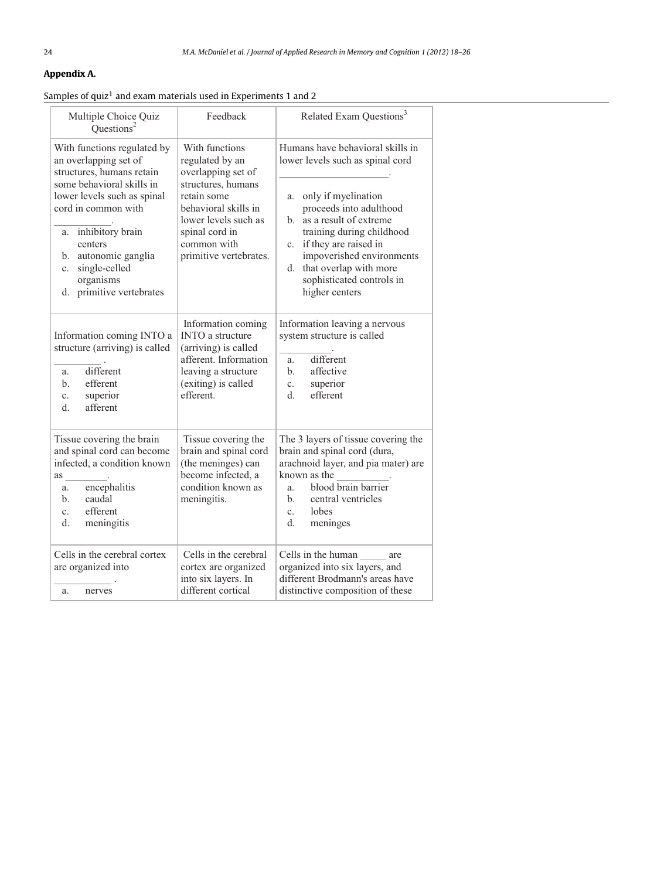# <span id="page-6-0"></span>**Appendix A.**

# Samples of quiz<sup>1</sup> and exam materials used in Experiments 1 and 2

| Multiple Choice Quiz<br>Ouestions <sup>2</sup>                                                                                                                                                                                                                                                 | Feedback                                                                                                                                                                                                | Related Exam Questions <sup>3</sup>                                                                                                                                                                                                                                                                                                        |  |  |
|------------------------------------------------------------------------------------------------------------------------------------------------------------------------------------------------------------------------------------------------------------------------------------------------|---------------------------------------------------------------------------------------------------------------------------------------------------------------------------------------------------------|--------------------------------------------------------------------------------------------------------------------------------------------------------------------------------------------------------------------------------------------------------------------------------------------------------------------------------------------|--|--|
| With functions regulated by<br>an overlapping set of<br>structures, humans retain<br>some behavioral skills in<br>lower levels such as spinal<br>cord in common with<br>a. inhibitory brain<br>centers<br>b. autonomic ganglia<br>single-celled<br>c.<br>organisms<br>d. primitive vertebrates | With functions<br>regulated by an<br>overlapping set of<br>structures, humans<br>retain some<br>behavioral skills in<br>lower levels such as<br>spinal cord in<br>common with<br>primitive vertebrates. | Humans have behavioral skills in<br>lower levels such as spinal cord<br>a. only if myelination<br>proceeds into adulthood<br>as a result of extreme<br>h.<br>training during childhood<br>if they are raised in<br>$c_{\cdot}$<br>impoverished environments<br>that overlap with more<br>d.<br>sophisticated controls in<br>higher centers |  |  |
| Information coming INTO a<br>structure (arriving) is called<br>different<br>a.<br>efferent<br>$\mathbf{b}$ .<br>superior<br>$\mathbf{c}$ .<br>afferent<br>$d_{-}$                                                                                                                              | Information coming<br><b>INTO</b> a structure<br>(arriving) is called<br>afferent. Information<br>leaving a structure<br>(exiting) is called<br>efferent.                                               | Information leaving a nervous<br>system structure is called<br>different<br>a.<br>affective<br>$h_{\cdot}$<br>superior<br>c.<br>efferent<br>d.                                                                                                                                                                                             |  |  |
| Tissue covering the brain<br>and spinal cord can become<br>infected, a condition known<br>as<br>encephalitis<br>a.<br>caudal<br>$\mathbf{b}$ .<br>efferent<br>$c_{\cdot}$<br>d.<br>meningitis                                                                                                  | Tissue covering the<br>brain and spinal cord<br>(the meninges) can<br>become infected, a<br>condition known as<br>meningitis.                                                                           | The 3 layers of tissue covering the<br>brain and spinal cord (dura,<br>arachnoid layer, and pia mater) are<br>known as the<br>blood brain barrier<br>a.<br>central ventricles<br>$h_{-}$<br>lobes<br>$c_{\cdot}$<br>d.<br>meninges                                                                                                         |  |  |
| Cells in the cerebral cortex<br>are organized into<br>a.<br>nerves                                                                                                                                                                                                                             | Cells in the cerebral<br>cortex are organized<br>into six layers. In<br>different cortical                                                                                                              | Cells in the human are<br>organized into six layers, and<br>different Brodmann's areas have<br>distinctive composition of these                                                                                                                                                                                                            |  |  |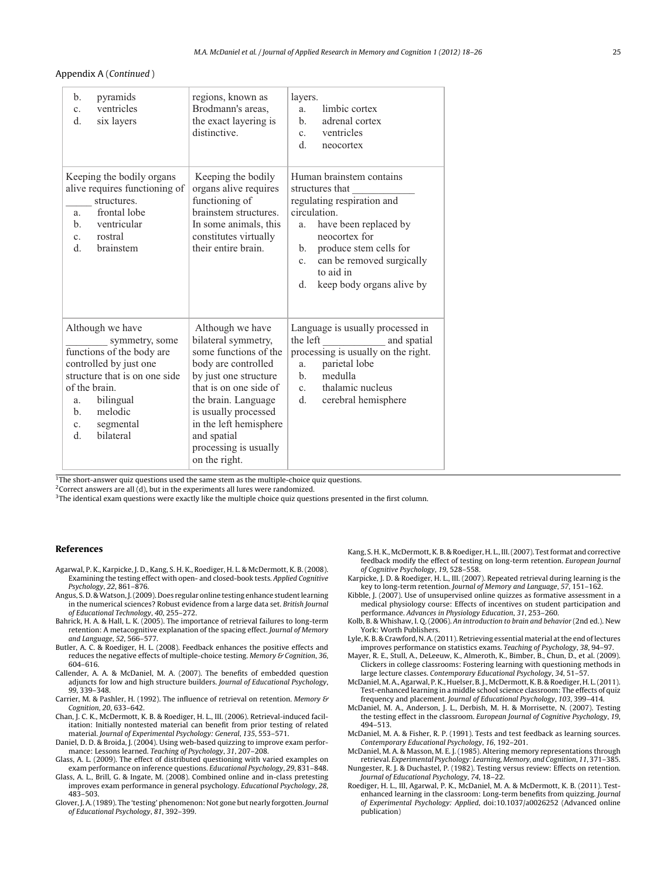<span id="page-7-0"></span>Appendix A (Continued )

| pyramids<br>$\mathbf{b}$ .<br>ventricles<br>$\mathbf{c}$ .<br>$d_{\cdot}$<br>six layers                                                                                                                                                                | regions, known as<br>Brodmann's areas,<br>the exact layering is<br>distinctive.                                                                                                                                                                                              | layers.<br>limbic cortex<br>a.<br>adrenal cortex<br>$\mathbf{b}$ .<br>ventricles<br>$c_{\cdot}$<br>$d_{\cdot}$<br>neocortex                                                                                                                                                       |
|--------------------------------------------------------------------------------------------------------------------------------------------------------------------------------------------------------------------------------------------------------|------------------------------------------------------------------------------------------------------------------------------------------------------------------------------------------------------------------------------------------------------------------------------|-----------------------------------------------------------------------------------------------------------------------------------------------------------------------------------------------------------------------------------------------------------------------------------|
| Keeping the bodily organs<br>alive requires functioning of<br>structures.<br>frontal lobe<br>a.<br>ventricular<br>$\mathbf{b}$ .<br>rostral<br>$c_{\cdot}$<br>$d_{-}$<br>brainstem                                                                     | Keeping the bodily<br>organs alive requires<br>functioning of<br>brainstem structures.<br>In some animals, this<br>constitutes virtually<br>their entire brain.                                                                                                              | Human brainstem contains<br>structures that<br>regulating respiration and<br>circulation.<br>have been replaced by<br>a.<br>neocortex for<br>produce stem cells for<br>$\mathbf{b}$ .<br>can be removed surgically<br>$c_{\cdot}$<br>to aid in<br>keep body organs alive by<br>d. |
| Although we have<br>symmetry, some<br>functions of the body are<br>controlled by just one<br>structure that is on one side<br>of the brain.<br>bilingual<br>a.<br>melodic<br>$\mathbf{b}$ .<br>segmental<br>$c_{\cdot}$<br><b>bilateral</b><br>$d_{-}$ | Although we have<br>bilateral symmetry,<br>some functions of the<br>body are controlled<br>by just one structure<br>that is on one side of<br>the brain. Language<br>is usually processed<br>in the left hemisphere<br>and spatial<br>processing is usually<br>on the right. | Language is usually processed in<br>the left<br>and spatial<br>processing is usually on the right.<br>parietal lobe<br>a.<br>medulla<br>$h_{\cdot}$<br>thalamic nucleus<br>$c_{\rm}$<br>d.<br>cerebral hemisphere                                                                 |

 $1$ <sup>1</sup>The short-answer quiz questions used the same stem as the multiple-choice quiz questions.

<sup>2</sup> Correct answers are all (d), but in the experiments all lures were randomized.

<sup>3</sup>The identical exam questions were exactly like the multiple choice quiz questions presented in the first column.

#### **References**

- Agarwal, P. K., Karpicke, J. D., Kang, S. H. K., Roediger, H. L. & McDermott, K. B. (2008). Examining the testing effect with open- and closed-book tests. Applied Cognitive Psychology, 22, 861–876.
- Angus, S. D. & Watson, J. (2009). Does regular online testing enhance student learning in the numerical sciences? Robust evidence from a large data set. British Journal of Educational Technology, 40, 255–272.
- Bahrick, H. A. & Hall, L. K. (2005). The importance of retrieval failures to long-term retention: A metacognitive explanation of the spacing effect. Journal of Memory and Language, 52, 566–577.
- Butler, A. C. & Roediger, H. L. (2008). Feedback enhances the positive effects and reduces the negative effects of multiple-choice testing. Memory & Cognition, 36, 604–616.
- Callender, A. A. & McDaniel, M. A. (2007). The benefits of embedded question adjuncts for low and high structure builders. Journal of Educational Psychology, 99, 339–348.
- Carrier, M. & Pashler, H. (1992). The influence of retrieval on retention. Memory & Cognition, 20, 633–642.
- Chan, J. C. K., McDermott, K. B. & Roediger, H. L., III. (2006). Retrieval-induced facilitation: Initially nontested material can benefit from prior testing of related material. Journal of Experimental Psychology: General, 135, 553–571.
- Daniel, D. D. & Broida, J. (2004). Using web-based quizzing to improve exam performance: Lessons learned. Teaching of Psychology, 31, 207–208.
- Glass, A. L. (2009). The effect of distributed questioning with varied examples on exam performance on inference questions. Educational Psychology, 29, 831–848.
- Glass, A. L., Brill, G. & Ingate, M. (2008). Combined online and in-class pretesting improves exam performance in general psychology. Educational Psychology, 28, 483–503.
- Glover, J. A. (1989). The 'testing' phenomenon: Not gone but nearly forgotten. Journal of Educational Psychology, 81, 392–399.
- Kang, S. H. K., McDermott, K. B. & Roediger, H. L., III. (2007). Test format and corrective feedback modify the effect of testing on long-term retention. European Journal of Cognitive Psychology, 19, 528–558.
- Karpicke, J. D. & Roediger, H. L., III. (2007). Repeated retrieval during learning is the key to long-term retention. Journal of Memory and Language, 57, 151–162.
- Kibble, J. (2007). Use of unsupervised online quizzes as formative assessment in a medical physiology course: Effects of incentives on student participation and performance. Advances in Physiology Education, 31, 253–260.
- Kolb, B. & Whishaw, I. Q. (2006). An introduction to brain and behavior (2nd ed.). New York: Worth Publishers.
- Lyle, K. B. & Crawford, N. A. (2011). Retrieving essential material at the end of lectures improves performance on statistics exams. Teaching of Psychology, 38, 94–97.
- Mayer, R. E., Stull, A., DeLeeuw, K., Almeroth, K., Bimber, B., Chun, D., et al. (2009). Clickers in college classrooms: Fostering learning with questioning methods in large lecture classes. Contemporary Educational Psychology, 34, 51–57.
- McDaniel,M. A., Agarwal, P. K., Huelser, B. J.,McDermott, K. B. & Roediger, H. L. (2011). Test-enhanced learning in a middle school science classroom: The effects of quiz frequency and placement. Journal of Educational Psychology, 103, 399–414.
- McDaniel, M. A., Anderson, J. L., Derbish, M. H. & Morrisette, N. (2007). Testing the testing effect in the classroom. European Journal of Cognitive Psychology, 19, 494–513.
- McDaniel, M. A. & Fisher, R. P. (1991). Tests and test feedback as learning sources. Contemporary Educational Psychology, 16, 192–201.
- McDaniel, M. A. & Masson, M. E. J. (1985). Altering memory representations through retrieval. Experimental Psychology: Learning, Memory, and Cognition, 11, 371–385.
- Nungester, R. J. & Duchastel, P. (1982). Testing versus review: Effects on retention. Journal of Educational Psychology, 74, 18–22.
- Roediger, H. L., III, Agarwal, P. K., McDaniel, M. A. & McDermott, K. B. (2011). Testenhanced learning in the classroom: Long-term benefits from quizzing. Journal of Experimental Psychology: Applied, doi:10.1037/a0026252 (Advanced online publication)